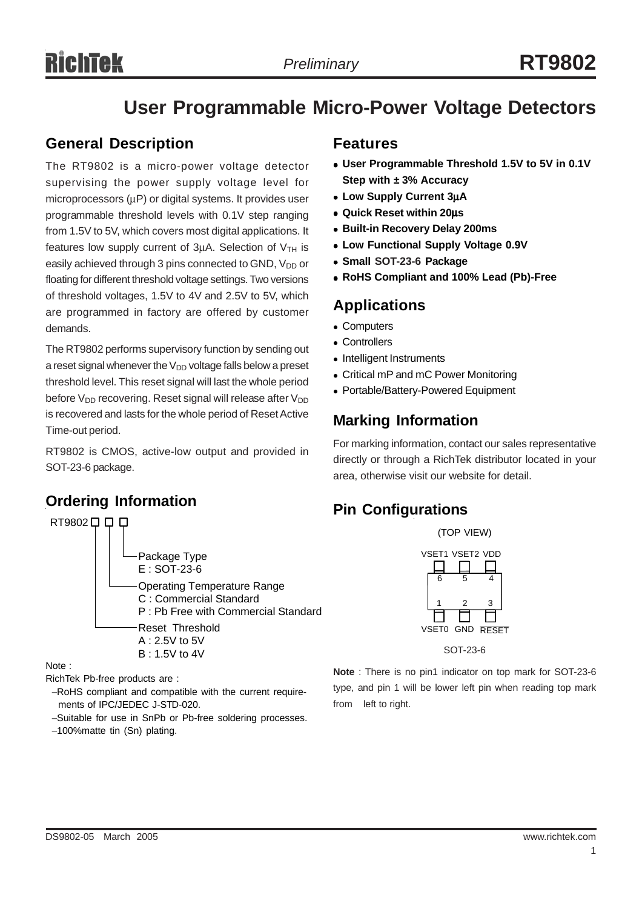# **User Programmable Micro-Power Voltage Detectors**

#### **General Description**

The RT9802 is a micro-power voltage detector supervising the power supply voltage level for microprocessors ( $\mu$ P) or digital systems. It provides user programmable threshold levels with 0.1V step ranging from 1.5V to 5V, which covers most digital applications. It features low supply current of  $3\mu$ A. Selection of  $V$ <sub>TH</sub> is easily achieved through 3 pins connected to GND, V<sub>DD</sub> or floating for different threshold voltage settings. Two versions of threshold voltages, 1.5V to 4V and 2.5V to 5V, which are programmed in factory are offered by customer demands.

The RT9802 performs supervisory function by sending out a reset signal whenever the  $V_{DD}$  voltage falls below a preset threshold level. This reset signal will last the whole period before  $V_{DD}$  recovering. Reset signal will release after  $V_{DD}$ is recovered and lasts for the whole period of Reset Active Time-out period.

RT9802 is CMOS, active-low output and provided in SOT-23-6 package.

### **Ordering Information**



Note :

RichTek Pb-free products are :

- −RoHS compliant and compatible with the current require ments of IPC/JEDEC J-STD-020.
- −Suitable for use in SnPb or Pb-free soldering processes.
- −100%matte tin (Sn) plating.

#### **Features**

- User Programmable Threshold 1.5V to 5V in 0.1V **Step with ± 3% Accuracy**
- <sup>z</sup> **Low Supply Current 3**µ**A**
- <sup>z</sup> **Quick Reset within 20**µ**s**
- **Built-in Recovery Delay 200ms**
- **Low Functional Supply Voltage 0.9V**
- <sup>z</sup> **Small SOT-23-6 Package**
- <sup>z</sup> **RoHS Compliant and 100% Lead (Pb)-Free**

#### **Applications**

- Computers
- Controllers
- Intelligent Instruments
- Critical mP and mC Power Monitoring
- Portable/Battery-Powered Equipment

#### **Marking Information**

For marking information, contact our sales representative directly or through a RichTek distributor located in your area, otherwise visit our website for detail.

#### **Pin Configurations**

(TOP VIEW)





**Note** : There is no pin1 indicator on top mark for SOT-23-6 type, and pin 1 will be lower left pin when reading top mark from left to right.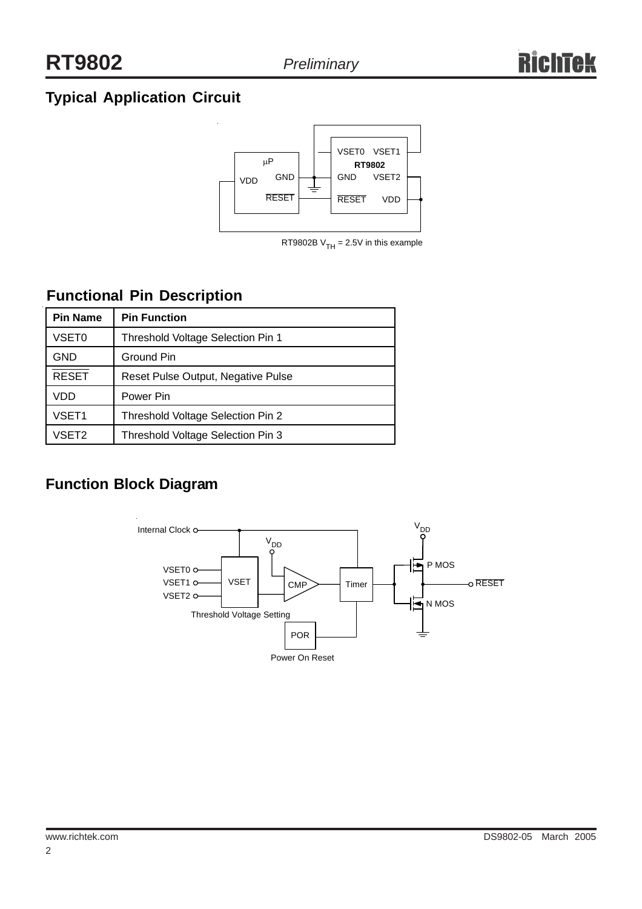## **Typical Application Circuit**



RT9802B  $V<sub>TH</sub> = 2.5V$  in this example

## **Functional Pin Description**

| <b>Pin Name</b>   | <b>Pin Function</b>                |  |  |
|-------------------|------------------------------------|--|--|
| <b>VSET0</b>      | Threshold Voltage Selection Pin 1  |  |  |
| GND               | Ground Pin                         |  |  |
| <b>RESET</b>      | Reset Pulse Output, Negative Pulse |  |  |
| VDD               | Power Pin                          |  |  |
| VSET <sub>1</sub> | Threshold Voltage Selection Pin 2  |  |  |
| VSET2             | Threshold Voltage Selection Pin 3  |  |  |

### **Function Block Diagram**

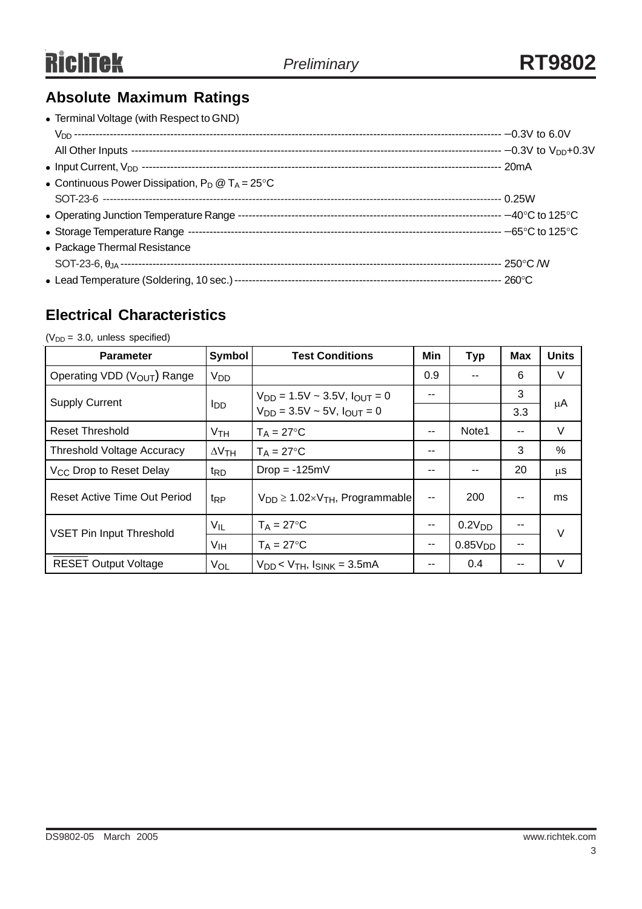## **Absolute Maximum Ratings**

| • Terminal Voltage (with Respect to GND)                  |  |
|-----------------------------------------------------------|--|
|                                                           |  |
|                                                           |  |
|                                                           |  |
| • Continuous Power Dissipation, $P_D @ T_A = 25^{\circ}C$ |  |
|                                                           |  |
|                                                           |  |
|                                                           |  |
| • Package Thermal Resistance                              |  |
|                                                           |  |
|                                                           |  |

#### **Electrical Characteristics**

 $(V_{DD} = 3.0,$  unless specified)

| <b>Parameter</b>                        | Symbol          | <b>Test Conditions</b>                                                               | Min           | <b>Typ</b>          | <b>Max</b> | <b>Units</b> |  |
|-----------------------------------------|-----------------|--------------------------------------------------------------------------------------|---------------|---------------------|------------|--------------|--|
| Operating VDD (V <sub>OUT</sub> ) Range | V <sub>DD</sub> |                                                                                      | 0.9           |                     | 6          | V            |  |
| <b>Supply Current</b>                   | l <sub>DD</sub> | $V_{DD} = 1.5V \sim 3.5V$ , $I_{OUT} = 0$<br>$V_{DD} = 3.5V \sim 5V$ , $I_{OUT} = 0$ | --            |                     | 3          | μA           |  |
|                                         |                 |                                                                                      |               |                     | 3.3        |              |  |
| <b>Reset Threshold</b>                  | V <sub>TH</sub> | $T_A = 27$ °C                                                                        | --            | Note1               | --         | V            |  |
| <b>Threshold Voltage Accuracy</b>       | $\Delta V$ TH   | $T_A = 27$ °C                                                                        | --            |                     | 3          | $\%$         |  |
| V <sub>CC</sub> Drop to Reset Delay     | t <sub>RD</sub> | $Drop = -125mV$                                                                      | --            |                     | 20         | $\mu$ S      |  |
| Reset Active Time Out Period            | <sup>t</sup> RP | $V_{DD} \geq 1.02 \times V_{TH}$ , Programmable                                      | $\sim$ $\sim$ | 200                 |            | ms           |  |
| <b>VSET Pin Input Threshold</b>         | $V_{IL}$        | $T_A = 27$ °C                                                                        | --            | 0.2V <sub>DD</sub>  |            | $\vee$       |  |
|                                         | V <sub>IH</sub> | $T_A = 27$ °C                                                                        | --            | 0.85V <sub>DD</sub> | --         |              |  |
| <b>RESET Output Voltage</b>             | VOL             | $V_{DD}$ < $V_{TH}$ , $I_{SINK}$ = 3.5mA                                             |               | 0.4                 |            | V            |  |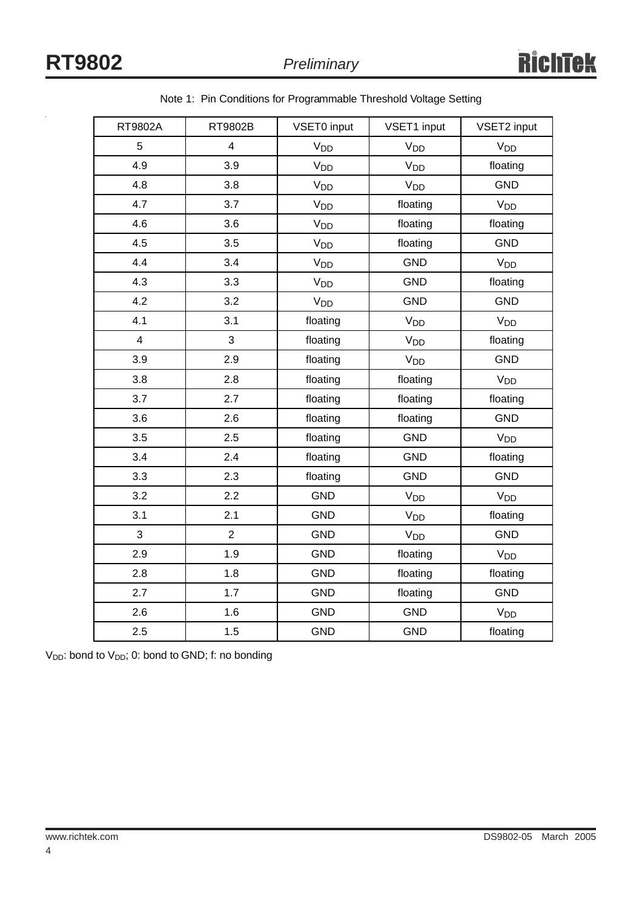| RT9802A        | RT9802B        | VSET0 input           | VSET1 input           | VSET2 input           |  |
|----------------|----------------|-----------------------|-----------------------|-----------------------|--|
| 5              | $\overline{4}$ | V <sub>DD</sub>       | V <sub>DD</sub>       | V <sub>DD</sub>       |  |
| 4.9            | 3.9            | V <sub>DD</sub>       | V <sub>DD</sub>       | floating              |  |
| 4.8            | 3.8            | <b>V<sub>DD</sub></b> | V <sub>DD</sub>       | <b>GND</b>            |  |
| 4.7            | 3.7            | $V_{DD}$              | floating              | <b>V<sub>DD</sub></b> |  |
| 4.6            | 3.6            | V <sub>DD</sub>       | floating              | floating              |  |
| 4.5            | 3.5            | <b>V<sub>DD</sub></b> | floating              | <b>GND</b>            |  |
| 4.4            | 3.4            | V <sub>DD</sub>       | <b>GND</b>            | V <sub>DD</sub>       |  |
| 4.3            | 3.3            | <b>V<sub>DD</sub></b> | GND                   | floating              |  |
| 4.2            | 3.2            | V <sub>DD</sub>       | <b>GND</b>            | <b>GND</b>            |  |
| 4.1            | 3.1            | floating              | <b>V<sub>DD</sub></b> | V <sub>DD</sub>       |  |
| $\overline{4}$ | 3              | floating              | V <sub>DD</sub>       | floating              |  |
| 3.9            | 2.9            | floating              | V <sub>DD</sub>       | <b>GND</b>            |  |
| 3.8            | 2.8            | floating              | floating              | V <sub>DD</sub>       |  |
| 3.7            | 2.7            | floating              | floating              | floating              |  |
| 3.6            | 2.6            | floating              | floating              | <b>GND</b>            |  |
| 3.5            | 2.5            | floating              | <b>GND</b>            | V <sub>DD</sub>       |  |
| 3.4            | 2.4            | floating              | <b>GND</b>            | floating              |  |
| 3.3            | 2.3            | floating              | <b>GND</b>            | GND                   |  |
| 3.2            | 2.2            | <b>GND</b>            | V <sub>DD</sub>       | V <sub>DD</sub>       |  |
| 3.1            | 2.1            | <b>GND</b>            | <b>V<sub>DD</sub></b> | floating              |  |
| 3              | $\overline{2}$ | <b>GND</b>            | V <sub>DD</sub>       | <b>GND</b>            |  |
| 2.9            | 1.9            | <b>GND</b>            | floating              | <b>V<sub>DD</sub></b> |  |
| 2.8            | 1.8            | <b>GND</b>            | floating              | floating              |  |
| 2.7            | 1.7            | <b>GND</b>            | floating              | <b>GND</b>            |  |
| 2.6            | 1.6            | <b>GND</b>            | <b>GND</b>            | <b>V<sub>DD</sub></b> |  |
| 2.5            | 1.5            | <b>GND</b>            | <b>GND</b>            | floating              |  |

Note 1: Pin Conditions for Programmable Threshold Voltage Setting

 $V_{DD}$ : bond to  $V_{DD}$ ; 0: bond to GND; f: no bonding